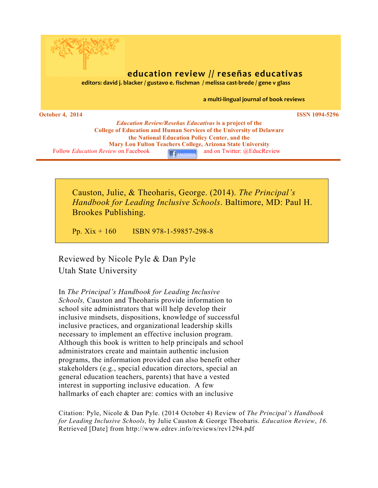

## **education review** // **reseñas educativas** *editors: david i. blacker / gustavo e. fischman / melissa cast-brede / gene v glass*

a multi-lingual journal of book reviews

**October 4, 2014 ISSN 1094-5296** 

*Education Review/Reseñas Educativas* **is a project of the College of Education and Human Services of the University of Delaware the National Education Policy Center, and the Mary Lou Fulton Teachers College, Arizona State University** Follow *Education Review* on Facebook **AccEL**<sub>FACEBOOK</sub> and on Twitter: @EducReview

Causton, Julie, & Theoharis, George. (2014). *The Principal's Handbook for Leading Inclusive Schools*. Baltimore, MD: Paul H. Brookes Publishing.

Pp. Xix + 160 ISBN 978-1-59857-298-8

Reviewed by Nicole Pyle & Dan Pyle Utah State University

In *The Principal's Handbook for Leading Inclusive Schools,* Causton and Theoharis provide information to school site administrators that will help develop their inclusive mindsets, dispositions, knowledge of successful inclusive practices, and organizational leadership skills necessary to implement an effective inclusion program. Although this book is written to help principals and school administrators create and maintain authentic inclusion programs, the information provided can also benefit other stakeholders (e.g., special education directors, special an general education teachers, parents) that have a vested interest in supporting inclusive education. A few hallmarks of each chapter are: comics with an inclusive

Citation: Pyle, Nicole & Dan Pyle. (2014 October 4) Review of *The Principal's Handbook for Leading Inclusive Schools,* by Julie Causton & George Theoharis. *Education Review*, *16.*  Retrieved [Date] from http://www.edrev.info/reviews/rev1294.pdf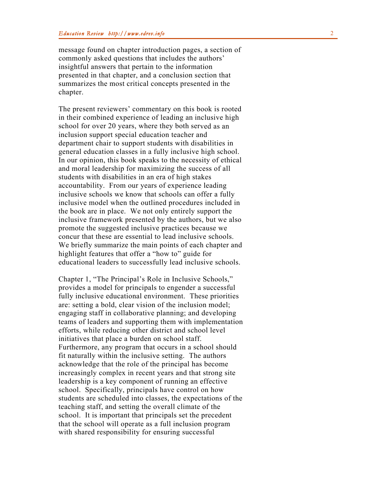message found on chapter introduction pages, a section of commonly asked questions that includes the authors' insightful answers that pertain to the information presented in that chapter, and a conclusion section that summarizes the most critical concepts presented in the chapter.

The present reviewers' commentary on this book is rooted in their combined experience of leading an inclusive high school for over 20 years, where they both served as an inclusion support special education teacher and<br>department chair to support students with disabilities in<br>general education classes in a fully inclusive high school.<br>In our opinion, this book speaks to the necessity of eth and moral leadership for maximizin g the success of all students with disabilities in an era of high stakes accountability. From our years of experience leading inclusive schools we kn ow that schools can offer a fully inclusive model when the outlined procedures included in the book are in place. We not only entirely support the inclusive framework presented by the authors, but we also promote the suggested inclusive practices because we concur that these are essential to lead inclusive schools. We briefly summarize the main points of each chapter and highlight features that offer a "how to" guide for educational leaders to successfully lead inclusive schools.

Chapter 1, "The Principal's Role in Inclusive Schools," provide s a model for principals to engender a successful fully inclusive educational environment. These priorities are: setting a bold, clear vision of the inclusion model; engaging staff in collaborative planning; and developing teams of leaders and supporting them with implementation efforts, while reducing other district and school level initiatives that place a burden on school staff. Furthermore, any program that occur s in a school should fit naturally within the inclusive setting. The authors acknowledge that the role of the principal has become increasingly complex in recent years and that strong site leadership is a key component of running an effective school . Specifically, principals have control on how students are scheduled into classes, the expectations of the teaching staff, and setting the overall climate of the school. It is important that principals set the precedent that the school will operate as a full inclusion program with shared responsibility for ensuring successful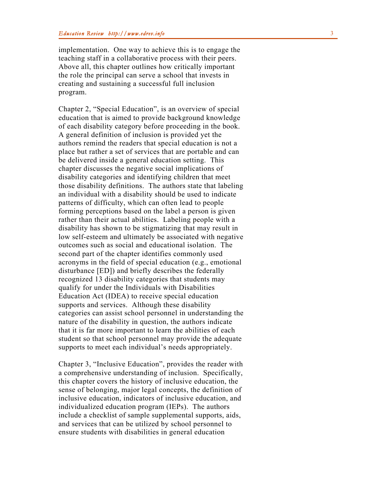implementation. One way to achieve this is to engage the teaching staff in a collaborative process with their peer s. Above all, this chapter outlines how critically important the role the principal can serve a school that invest s in creating and sustaining a successful full inclusion program.<br>Chapter 2, "Special Education", is an overview of special

education that is aimed to provide background knowledge of each disability category before proceeding in the book. A general definition of inclusion is provided yet the authors remind the readers that special education is not a place but rather a set of services that are portable and can be delivered inside a general education setting. This chapter discusses the negative social implications of disability categories and identifying children that meet those disability definitions. The authors state that labeling an individual with a disability should be used to indicate patterns of difficulty , which can often lead to people forming perceptions based on the label a person is given rather than their actual abilities. Labeling people with a disability has shown to be stigmatizing that may result in low self-esteem and ultimately be associated with negative outcomes such as social and educational isolation. The second part of the chapter identifies commonly used acronyms in the field of special education (e.g., emotional disturbance [ED]) and briefly describes the federally recognized 13 disability categories that students may qualify for under the Individual s with Disabilities Education Act (IDEA) to receive special education supports and services. Although these disability categories can assist school personnel in understanding the nature of the disability in question, the authors indicate that it is far more important to learn the abilities of each student so that school personnel may provide the adequate supports to meet each individual's needs appropriately.

Chapter 3, "Inclusive Education" , provides the reader with a comprehensive understanding of inclusion. Specifically, this chapter covers the history of inclusive education, the sense of belonging, major legal concepts, the definition of inclusive education, indicators of inclusive education, and individualized education program (IEPs). The authors include a checklist of sample supplemental supports, aids, and services that can be utilized by school personnel to ensure students with disabilities in general education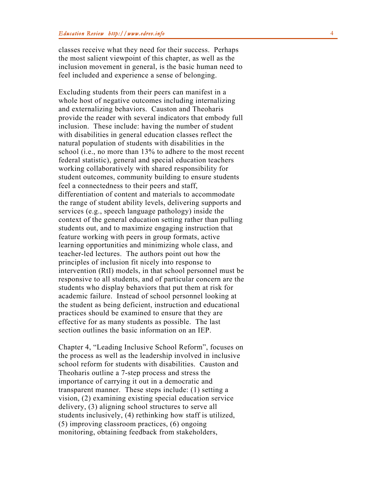classes receive what they need for their success. Perhaps the most salient viewpoint of this chapter, as well as the inclusion movement in general, is the basic human need to feel included and experience a sense of belonging.

Excluding students from their peers can manifest in a whole host of negative outcomes including internalizing and externalizing behaviors. Causton and Theoharis provide the reader with several indicators that embody full inclusion. These include: having the number of student with disabilities in general education classes reflect the natural population of students with disabilities in the school (i.e., no more than 13 % to adhere to the most recent federal statistic), general and special education teachers working collaboratively with shared responsibility for student outcomes, community building to ensure students feel a connectedness to their peers and staff, differentiation of content and materials to accommodate the range of student ability levels, delivering supports and services (e.g., speech language pathology) inside the context of the general education setting rather than pulling students out, and to maximize engaging instruction that feature working with peers in group formats, active learning opportunities and minimizing whole class, and teacher -led lectures. The authors point out how the principles of inclusion fit nicely into response to intervention (RtI) models, in that school personnel must be responsive to all students , and of particular concern are the students who display behaviors that put them at risk for academic failure. Instead of school personnel looking at the student as being deficient, instruction and educational practices should be examined to ensure that they are effective for as many students as possible. The last section outlines the basic information on an IEP.

Chapter 4, "Leading Inclusive School Reform" , focuses on the process as well as the leadership involved in inclusive school reform for students with disabilities. Causton and Theoharis outline a 7 -step process and stress the importance of carrying it out in a democratic and transparent manner. These steps include: (1) setting a vision, (2) examining existing special education service delivery, (3) aligning school structures to serve all students inclusively, (4) rethinking how staff is utilized, (5) improving classroom practices, (6) ongoing monitoring, obtaining feedback from stakeholders,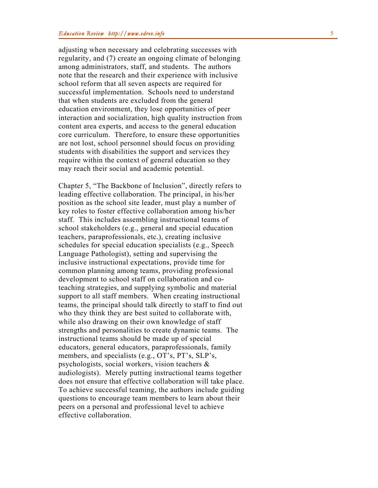adjusting when necessary and celebrating successes with regularity, and (7) create an ongoing climate of belonging among administrators, staff, and students. The authors note that the research and their experience with inclusive school reform that all seven aspects are required for successful implementation. Schools need to understand that when students are excluded from the general education environment, they lose opportunities of peer interaction and socialization, high quality instruction from content area experts, and access to the general education core curriculum. Therefore, to ensure these opportunities are not lost, school personnel should focus on providing students with disabilities the support and services they require within the context of general education so they may reach their social and academic potential.

Chapter 5, "The Backbone of Inclusion", directly refers to leading effective collaboration. The principal, in his/her position as the school site leader, must play a number of key roles to foster effective collaboration among his/her staff. This includes assembling instructional teams of school stakeholders (e.g., general and special education teachers, paraprofessionals, etc.), creating inclusive schedules for special education specialists (e.g., Speech Language Pathologist), setting and supervising the inclusive instructional expectations, provide time for common planning among teams, providing professional development to school staff on collaboration and co teaching strategies, and supplying symbolic and material support to all staff members. When creating instructional teams, the principal should talk directly to staff to find out who they think they are best suited to collaborate with, while also drawing on their own knowledge of staff strengths and personalities to create dynamic teams. The instructional teams should be made up of special educators, general educators, paraprofessionals, family members, and specialists (e.g., OT's, PT's, SLP's, psychologists, social workers, vision teachers & audiologists). Merely putting instructional teams together does not ensure that effective collaboration will take place. To achieve successful teaming, the authors include guiding questions to encourage team members to learn about their peers on a personal a nd professional level to achieve effective collaboration.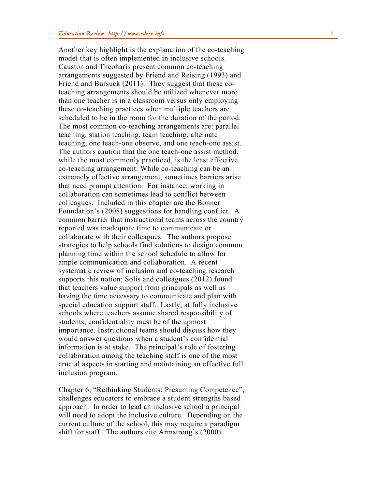Another key highlight is the explanation of the co -teaching model that is often implemented in inclusive schools. Causton and Theoharis present common co -teaching arrangements suggested by Friend and Reising (1993) and Friend and Bursuck (2011). They suggest that these coteaching arrangements should be utilized whenever more than one teacher is in a classroom versus only employing these co -teaching practices when multiple teachers are scheduled to be in the room for the duration of the period. The most common co -teaching arrangements are: parallel teaching, station teaching, team teaching, alternate teaching, one teach -one observe, and one teach -one assist. The author s caution that the one teach -one assist method, while the most commonly practiced, is the least effective co -teaching arrangement. While co -teaching can be an extremely effective arrangement, sometimes barriers arise that need prompt attention. For instance, working in collaboration can sometimes lead to conflict between colleagues. Included in this chapter are the Bonner Foundation's (2008) suggestions for handling conflict. A common barrier that instructional teams across the country reported was inadequate time to communicate or collaborate with their colleagues . The authors propose strategies to help schools find solutions to design common planning time within the school schedule to allow for ample communication and collaboration. A recent systematic review of inclusion and co -teaching research supports this notion; Solis and colleagues (2012) found that teachers value support from principals as well as having the time necessary to communicate and plan with special education support staff. Lastly, at fully inclusive schools where teachers assume shared responsibility of students, confidentiality must be of the upmost importance. Instructional teams should discuss how they would answer questions when a student's confidential information is at stake. The principal's role of fostering collaboration among the teaching staff is one of the most crucial aspects in starting and maintaining an effective full inclusion program.

Chapter 6, "Rethinking Students: Presuming Competence ", challenges educators to embrace a student strengths based approach. In order to lead an inclusive school a principal will need to adopt the inclusive culture. Depending on the current culture of the school, this may require a paradigm shift for staff. The authors cite Armstrong's (2000)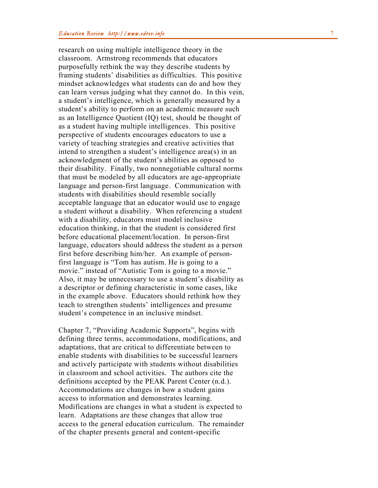research on using multiple intelligence theory in the classroom. Armstrong recommends that educators purposefully rethink the way they describe students by framing students ' disabilities as difficulties. This positive mindset acknowledges what students can do and how they can learn versus judging what they cannot do. In this vein, a student's intelligence, which is generally measured by a student's ability to perform on an academic measure such as an Intelligence Quotient (IQ ) test, should be thought of as a student having multiple intelligences. This positive perspective of students encourages educators to use a variety of teaching strategies and creative activities that intend to strengthen a student's intelligence area(s) in an acknowledgment of the student's abilities as opposed to their disability. Finally, two nonnegotiable cultural norms that must be modeled by all educators are age-appropriate language and person -first language. Communication with students with disabilities should resemble socially acceptable language that an educator would use to engage a student without a disability. When referencing a student with a disability, educators must model inclusive education thinking, in that the student is considered first before educational placement/location. In person -first language, educators should address the student as a person first before describing him/her. An example of person first language is "Tom has autism. He is going to a movie." instead of "Autistic Tom is going to a movie." Also, it may be unnecessary to use a student's disability as a descriptor or defining characteristic in some cases, like in the example above . Educators should rethink how they teach to strengthen students' intelligences and presume student's competence in an inclusive mindset.

Chapter 7, "Providing Academic Supports", begins with defining three terms, accommodations, modifications, and adaptations, that are critical to differentiate between to enable students with disabilities to be successful learners and actively participate with students without disabilities in classroom and school activities. The authors cite the definitions accepted by the PEAK Parent Center (n.d.). Accommodations are changes in how a student gains access to information and demonstrates learning. Modifications are changes in what a student is expected to learn. Adaptations are these changes that allow true access to the general education curriculum. The remainder of the chapter presents general and content -specific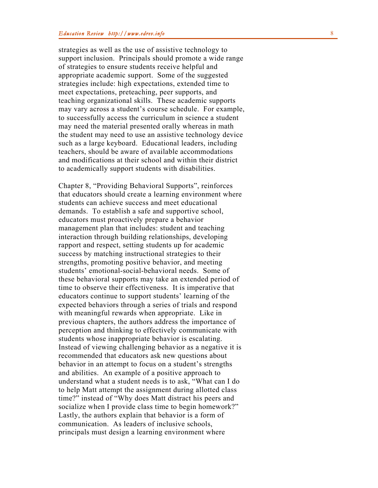strategies as well as the use of assistive technology to support inclusion. Principals should promote a wide range of strategies to ensure students receive helpful and appropriate academic support. Some of the suggested strategies include: high expectations, extended time to meet expectations, preteaching, peer supports, and teaching organizational skills. These academic supports may vary across a student's course schedule. For example, to successfully access the curriculum in science a student may need the material presented orally whereas in math the student may need to use an assistive technology device such as a large keyboard. Educational leaders, including teachers, should be aware of available accommodations and modifications at their school and within their district to academically support students with disabilities.

Chapter 8, "Providing Behavioral Supports", reinforces that educators should create a learning environment where students can achieve success and meet educational demands. To establish a safe and supportive school , educators must proactively prepare a behavior management plan that includes : student and teaching interaction through building relationships, developing rapport and respect, setting students up for academic success by matching instructional strategies to their strengths, promoting positive behavior, and meeting students' emotional -social -behavioral needs. Some of these behavioral supports may take an extended period of time to observe their effectiveness. It is imperative that educators continue to support students' learning of the expected behaviors through a series of trials and respond with meaningful rewards when appropriate. Like in previous chapters, the authors address the importance of perception and thinking to effectively communicat e with students whose inappropriate behavior is escalating. Instead of viewing challenging behavior as a negative it is recommended that educators ask new questions about behavior in an attempt to focus on a student's strengths and abilities. An example of a positive approach to understand what a student needs is to ask, "What can I do to help Matt attempt the assignment during allotted class time ?" instead of "Why does Matt distract his peers and socialize when I provide class time to begin homework?" Lastly, the authors explain that behavior is a form of communication. As leaders of inclusive schools, principals must design a learning environment where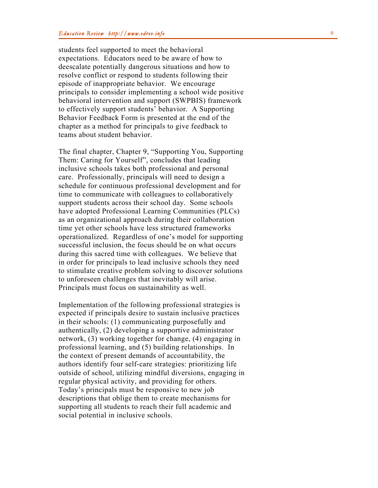students feel supported to meet the behavioral expectations. Educators need to be aware of how to deescalate potentially dangerous situations and how to resolve conflict or respond to students following their episode of inappropriate behavior. We encourage principal s to consider implementing a school wide positive behavioral intervention and support (SWPBIS) framework to effectively support students' behavior. A Supporting Behavior Feedback Form is presented at the end of the chapter as a method for principals to give feedback to teams about student behavior.

The final chapter, Chapter 9, "Supporting You, Supporting Them: Caring for Yourself", concludes that leading inclusive schools take s both professional and personal care . Professionally, principals will need to design a schedule for continuous professional development and for time to communicate with colleagues to collaboratively support students across their school day. Some schools have adopted Professional Learning Communities (PLCs) as an organizational approach during their collaboration time yet other schools have less structured frameworks operationalized. Regardless of one's model for supporting successful inclusion, the focus should be on what occurs during this sacred time with colleagues . We believe that in order fo r principals to lead inclusive schools they need to stimulate creative problem solving to discover solutions to unforeseen challenges that inevitably will arise. Principals must focus on sustainability as well.

Implementation of the following professional strategies is expected if principals desire to sustain inclusive practices in their schools: (1) communicating purposefully and authentically, (2) developing a supportive administrator network, (3) working together for change, (4) engaging in professional learning, and (5) building relationships. In the context of present demands of accountability, the authors identify four self-care strategies: prioritizing life outside of school, utilizing mindful diversions, engaging in regular physical activity , and providing for others. Today's principals must be responsive to new job descriptions that oblige them to create mechanisms for supporting all students to reach their full academic and social potential in inclusive school s.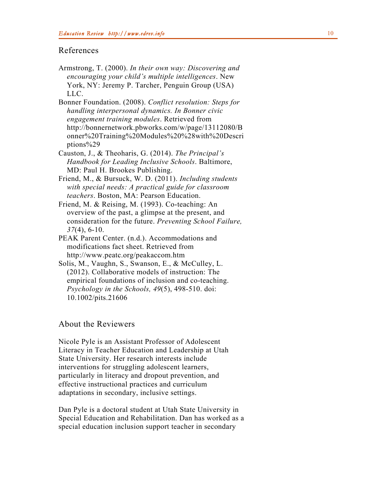## References

Armstrong, T. (2000). *In their own way: Discovering and encouraging your child's multiple intelligences*. New York, NY: Jeremy P. Tarcher, Penguin Group (USA) LLC.

Bonner Foundation. (2008). *Conflict resolution: Steps for handling interpersonal dynamics. In Bonner civic engagement training modules*. Retrieved from http://bonnernetwork.pbworks.com/w/page/13112080/B onner%20Training%20Modules%20%28with%20Descri ptions%29

- Causton, J., & Theoharis, G. (2014). *The Principal's Handbook for Leading Inclusive Schools*. Baltimore, MD: Paul H. Brookes Publishing.
- Friend, M., & Bursuck, W. D. (2011). *Including students with special needs: A practical guide for classroom teachers*. Boston, MA: Pearson Education.

Friend, M. & Reising, M. (1993). Co-teaching: An overview of the past, a glimpse at the present, and consideration for the future. *Preventing School Failure, 37*(4), 6-10.

- PEAK Parent Center. (n.d.). Accommodations and modifications fact sheet. Retrieved from http://www.peatc.org/peakaccom.htm
- Solis, M., Vaughn, S., Swanson, E., & McCulley, L. (2012). Collaborative models of instruction: The empirical foundations of inclusion and co-teaching. *Psychology in the Schools, 49*(5), 498-510. doi: 10.1002/pits.21606

## About the Reviewers

Nicole Pyle is an Assistant Professor of Adolescent Literacy in Teacher Education and Leadership at Utah State University. Her research interests include interventions for struggling adolescent learners, particularly in literacy and dropout prevention, and effective instructional practices and curriculum adaptations in secondary, inclusive settings.

Dan Pyle is a doctoral student at Utah State University in Special Education and Rehabilitation. Dan has worked as a special education inclusion support teacher in secondary